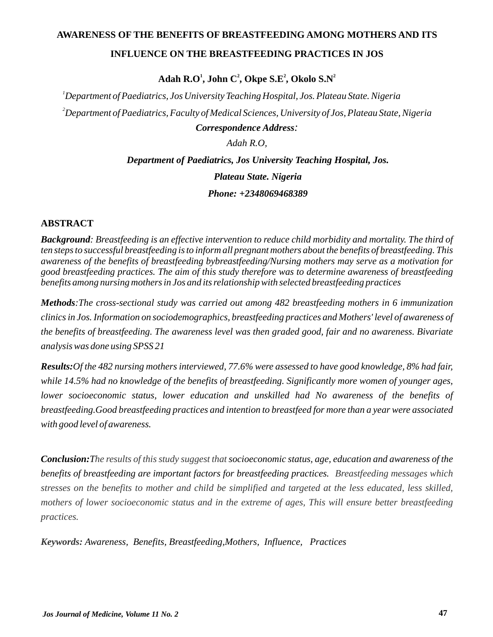#### **AWARENESS OF THE BENEFITS OF BREASTFEEDING AMONG MOTHERS AND ITS**

#### **INFLUENCE ON THE BREASTFEEDING PRACTICES IN JOS**

 $1$  **Adah R.O<sup>1</sup>, John C<sup>2</sup>, Okpe S.E<sup>2</sup>, Okolo S.N<sup>2</sup>** 

*<sup>1</sup>Department of Paediatrics, Jos University Teaching Hospital, Jos. Plateau State. Nigeria <sup>2</sup>Department of Paediatrics, Faculty of Medical Sciences, University of Jos, Plateau State, Nigeria*

*Correspondence Address:*

*Adah R.O,*

*Department of Paediatrics, Jos University Teaching Hospital, Jos.*

*Plateau State. Nigeria*

*Phone: +2348069468389*

## **ABSTRACT**

*Background: Breastfeeding is an effective intervention to reduce child morbidity and mortality. The third of ten steps to successful breastfeeding is to inform all pregnant mothers about the benefits of breastfeeding. This awareness of the benefits of breastfeeding bybreastfeeding/Nursing mothers may serve as a motivation for good breastfeeding practices. The aim of this study therefore was to determine awareness of breastfeeding benefits among nursing mothers in Jos and its relationship with selected breastfeeding practices* 

*Methods:The cross-sectional study was carried out among 482 breastfeeding mothers in 6 immunization clinics in Jos. Information on sociodemographics, breastfeeding practices and Mothers' level of awareness of the benefits of breastfeeding. The awareness level was then graded good, fair and no awareness. Bivariate analysis was done using SPSS 21*

*Results:Of the 482 nursing mothers interviewed, 77.6% were assessed to have good knowledge, 8% had fair, while 14.5% had no knowledge of the benefits of breastfeeding. Significantly more women of younger ages, lower socioeconomic status, lower education and unskilled had No awareness of the benefits of breastfeeding.Good breastfeeding practices and intention to breastfeed for more than a year were associated with good level of awareness.*

**Conclusion:** The results of this study suggest that socioeconomic status, age, education and awareness of the *benefits of breastfeeding are important factors for breastfeeding practices. Breastfeeding messages which stresses on the benefits to mother and child be simplified and targeted at the less educated, less skilled, mothers of lower socioeconomic status and in the extreme of ages, This will ensure better breastfeeding practices.*

*Awareness, Benefits, Breastfeeding,Mothers, Influence, Practices Keywords:*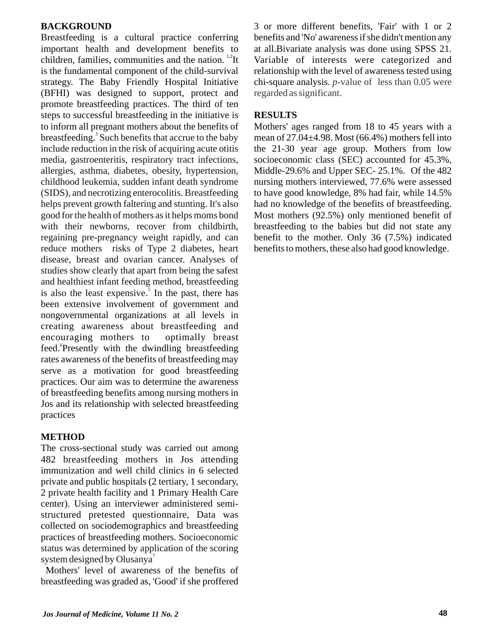## **BACKGROUND**

Breastfeeding is a cultural practice conferring important health and development benefits to children, families, communities and the nation.  $1.2$ It is the fundamental component of the child-survival strategy. The Baby Friendly Hospital Initiative (BFHI) was designed to support, protect and promote breastfeeding practices. The third of ten steps to successful breastfeeding in the initiative is to inform all pregnant mothers about the benefits of breastfeeding.<sup>3</sup> Such benefits that accrue to the baby is also the least expensive.<sup>5</sup> In the past, there has been extensive involvement of government and nongovernmental organizations at all levels in creating awareness about breastfeeding and encouraging mothers to optimally breast feed. Presently with the dwindling breastfeeding rates awareness of the benefits of breastfeeding may serve as a motivation for good breastfeeding practices. Our aim was to determine the awareness of breastfeeding benefits among nursing mothers in Jos and its relationship with selected breastfeeding practices include reduction in the risk of acquiring acute otitis media, gastroenteritis, respiratory tract infections, allergies, asthma, diabetes, obesity, hypertension, childhood leukemia, sudden infant death syndrome (SIDS), and necrotizing enterocolitis. Breastfeeding helps prevent growth faltering and stunting. It's also good for the health of mothers as it helps moms bond with their newborns, recover from childbirth, regaining pre-pregnancy weight rapidly, and can reduce mothers risks of Type 2 diabetes, heart disease, breast and ovarian cancer. Analyses of studies show clearly that apart from being the safest and healthiest infant feeding method, breastfeeding

## **METHOD**

The cross-sectional study was carried out among 482 breastfeeding mothers in Jos attending immunization and well child clinics in 6 selected private and public hospitals (2 tertiary, 1 secondary, 2 private health facility and 1 Primary Health Care center). Using an interviewer administered semistructured pretested questionnaire, Data was collected on sociodemographics and breastfeeding practices of breastfeeding mothers. Socioeconomic system designed by Olusanya<sup>7</sup> status was determined by application of the scoring

Mothers' level of awareness of the benefits of breastfeeding was graded as, 'Good' if she proffered

3 or more different benefits, 'Fair' with 1 or 2 benefits and 'No' awareness if she didn't mention any at all.Bivariate analysis was done using SPSS 21. Variable of interests were categorized and relationship with the level of awareness tested using chi-square analysis. *p*-value of less than 0.05 were regarded as significant.

# **RESULTS**

Mothers' ages ranged from 18 to 45 years with a mean of 27.04±4.98. Most (66.4%) mothers fell into the 21-30 year age group. Mothers from low socioeconomic class (SEC) accounted for 45.3%, Middle-29.6% and Upper SEC- 25.1%. Of the 482 nursing mothers interviewed, 77.6% were assessed to have good knowledge, 8% had fair, while 14.5% had no knowledge of the benefits of breastfeeding. Most mothers (92.5%) only mentioned benefit of breastfeeding to the babies but did not state any benefit to the mother. Only 36 (7.5%) indicated benefits to mothers, these also had good knowledge.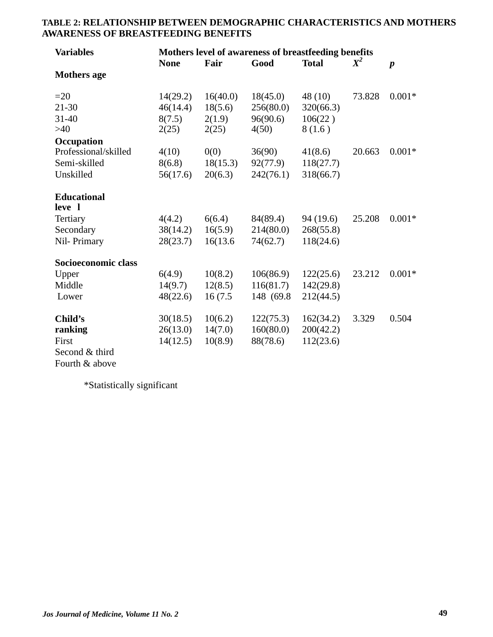| <b>Variables</b>     | Mothers level of awareness of breastfeeding benefits |          |            |              |        |                  |  |  |
|----------------------|------------------------------------------------------|----------|------------|--------------|--------|------------------|--|--|
|                      | <b>None</b>                                          | Fair     | Good       | <b>Total</b> | $X^2$  | $\boldsymbol{p}$ |  |  |
| <b>Mothers age</b>   |                                                      |          |            |              |        |                  |  |  |
| $=20$                | 14(29.2)                                             | 16(40.0) | 18(45.0)   | 48(10)       | 73.828 | $0.001*$         |  |  |
| $21 - 30$            | 46(14.4)                                             | 18(5.6)  | 256(80.0)  | 320(66.3)    |        |                  |  |  |
| $31 - 40$            | 8(7.5)                                               | 2(1.9)   | 96(90.6)   | 106(22)      |        |                  |  |  |
| >40                  | 2(25)                                                | 2(25)    | 4(50)      | 8(1.6)       |        |                  |  |  |
| Occupation           |                                                      |          |            |              |        |                  |  |  |
| Professional/skilled | 4(10)                                                | 0(0)     | 36(90)     | 41(8.6)      | 20.663 | $0.001*$         |  |  |
| Semi-skilled         | 8(6.8)                                               | 18(15.3) | 92(77.9)   | 118(27.7)    |        |                  |  |  |
| Unskilled            | 56(17.6)                                             | 20(6.3)  | 242(76.1)  | 318(66.7)    |        |                  |  |  |
| <b>Educational</b>   |                                                      |          |            |              |        |                  |  |  |
| leve 1               |                                                      |          |            |              |        |                  |  |  |
| Tertiary             | 4(4.2)                                               | 6(6.4)   | 84(89.4)   | 94 (19.6)    | 25.208 | $0.001*$         |  |  |
| Secondary            | 38(14.2)                                             | 16(5.9)  | 214(80.0)  | 268(55.8)    |        |                  |  |  |
| Nil-Primary          | 28(23.7)                                             | 16(13.6) | 74(62.7)   | 118(24.6)    |        |                  |  |  |
| Socioeconomic class  |                                                      |          |            |              |        |                  |  |  |
| Upper                | 6(4.9)                                               | 10(8.2)  | 106(86.9)  | 122(25.6)    | 23.212 | $0.001*$         |  |  |
| Middle               | 14(9.7)                                              | 12(8.5)  | 116(81.7)  | 142(29.8)    |        |                  |  |  |
| Lower                | 48(22.6)                                             | 16(7.5)  | 148 (69.8) | 212(44.5)    |        |                  |  |  |
| Child's              | 30(18.5)                                             | 10(6.2)  | 122(75.3)  | 162(34.2)    | 3.329  | 0.504            |  |  |
| ranking              | 26(13.0)                                             | 14(7.0)  | 160(80.0)  | 200(42.2)    |        |                  |  |  |
| First                | 14(12.5)                                             | 10(8.9)  | 88(78.6)   | 112(23.6)    |        |                  |  |  |
| Second & third       |                                                      |          |            |              |        |                  |  |  |

#### **TABLE 2: RELATIONSHIP BETWEEN DEMOGRAPHIC CHARACTERISTICS AND MOTHERS AWARENESS OF BREASTFEEDING BENEFITS**

Fourth & above

\*Statistically significant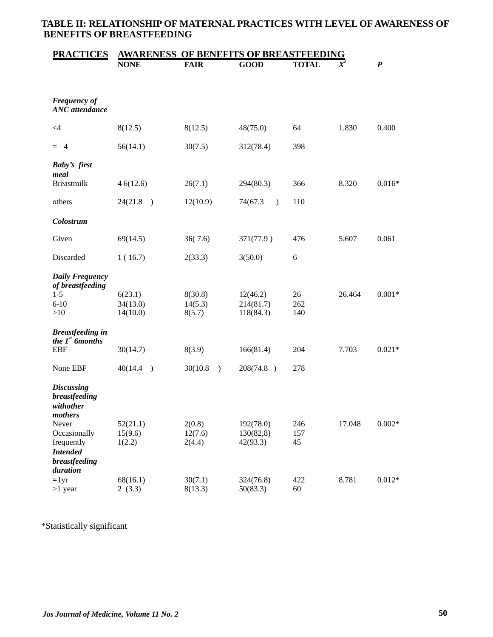# **TABLE II: RELATIONSHIP OF MATERNAL PRACTICES WITH LEVEL OF AWARENESS OF BENEFITS OF BREASTFEEDING**

| <b>PRACTICES</b>                                           | <b>AWARENESS</b><br><b>'S OF BREASTFEEDING</b><br><b>OF BENEFL</b> |                           |                          |              |        |                  |  |  |  |
|------------------------------------------------------------|--------------------------------------------------------------------|---------------------------|--------------------------|--------------|--------|------------------|--|--|--|
|                                                            | <b>NONE</b>                                                        | <b>FAIR</b>               | <b>GOOD</b>              | <b>TOTAL</b> |        | $\boldsymbol{P}$ |  |  |  |
|                                                            |                                                                    |                           |                          |              |        |                  |  |  |  |
| <b>Frequency of</b><br><b>ANC</b> attendance               |                                                                    |                           |                          |              |        |                  |  |  |  |
| $\leq 4$                                                   | 8(12.5)                                                            | 8(12.5)                   | 48(75.0)                 | 64           | 1.830  | 0.400            |  |  |  |
| $= 4$                                                      | 56(14.1)                                                           | 30(7.5)                   | 312(78.4)                | 398          |        |                  |  |  |  |
| <b>Baby's first</b><br>meal                                |                                                                    |                           |                          |              |        |                  |  |  |  |
| <b>Breastmilk</b>                                          | 46(12.6)                                                           | 26(7.1)                   | 294(80.3)                | 366          | 8.320  | $0.016*$         |  |  |  |
| others                                                     | 24(21.8)<br>$\rightarrow$                                          | 12(10.9)                  | 74(67.3<br>$\mathcal{E}$ | 110          |        |                  |  |  |  |
| Colostrum                                                  |                                                                    |                           |                          |              |        |                  |  |  |  |
| Given                                                      | 69(14.5)                                                           | 36(7.6)                   | 371(77.9)                | 476          | 5.607  | 0.061            |  |  |  |
| Discarded                                                  | 1(16.7)                                                            | 2(33.3)                   | 3(50.0)                  | 6            |        |                  |  |  |  |
| <b>Daily Frequency</b><br>of breastfeeding                 |                                                                    |                           |                          |              |        |                  |  |  |  |
| $1 - 5$                                                    | 6(23.1)                                                            | 8(30.8)                   | 12(46.2)                 | 26           | 26.464 | $0.001*$         |  |  |  |
| $6 - 10$                                                   | 34(13.0)                                                           | 14(5.3)                   | 214(81.7)                | 262          |        |                  |  |  |  |
| >10                                                        | 14(10.0)                                                           | 8(5.7)                    | 118(84.3)                | 140          |        |                  |  |  |  |
| <b>Breastfeeding in</b><br>the $Ist$ 6months               |                                                                    |                           |                          |              |        |                  |  |  |  |
| <b>EBF</b>                                                 | 30(14.7)                                                           | 8(3.9)                    | 166(81.4)                | 204          | 7.703  | $0.021*$         |  |  |  |
| None EBF                                                   | 40(14.4)<br>$\lambda$                                              | 30(10.8)<br>$\mathcal{E}$ | 208(74.8)                | 278          |        |                  |  |  |  |
| <b>Discussing</b><br>breastfeeding<br>withother<br>mothers |                                                                    |                           |                          |              |        |                  |  |  |  |
| Never                                                      | 52(21.1)                                                           | 2(0.8)                    | 192(78.0)                | 246          | 17.048 | $0.002*$         |  |  |  |
| Occasionally                                               | 15(9.6)                                                            | 12(7.6)                   | 130(82,8)                | 157          |        |                  |  |  |  |
| frequently                                                 | 1(2.2)                                                             | 2(4.4)                    | 42(93.3)                 | 45           |        |                  |  |  |  |
| <b>Intended</b>                                            |                                                                    |                           |                          |              |        |                  |  |  |  |
| breastfeeding<br>duration                                  |                                                                    |                           |                          |              |        |                  |  |  |  |
| $=1yr$                                                     | 68(16.1)                                                           | 30(7.1)                   | 324(76.8)                | 422          | 8.781  | $0.012*$         |  |  |  |
| $>1$ year                                                  | 2(3.3)                                                             | 8(13.3)                   | 50(83.3)                 | 60           |        |                  |  |  |  |

\*Statistically significant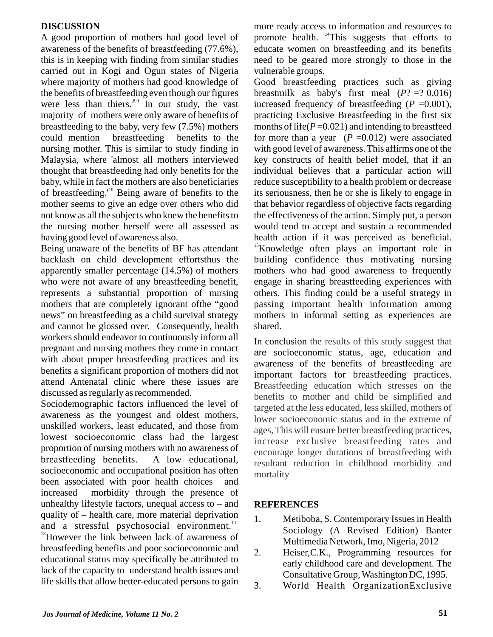## **DISCUSSION**

A good proportion of mothers had good level of awareness of the benefits of breastfeeding (77.6%), this is in keeping with finding from similar studies carried out in Kogi and Ogun states of Nigeria where majority of mothers had good knowledge of the benefits of breastfeeding even though our figures were less than thiers.<sup>8,9</sup> In our study, the vast majority of mothers were only aware of benefits of breastfeeding to the baby, very few (7.5%) mothers could mention breastfeeding benefits to the nursing mother. This is similar to study finding in Malaysia, where 'almost all mothers interviewed thought that breastfeeding had only benefits for the baby, while in fact the mothers are also beneficiaries of breastfeeding. $10$  Being aware of benefits to the mother seems to give an edge over others who did not know as all the subjects who knew the benefits to the nursing mother herself were all assessed as having good level of awareness also.

Being unaware of the benefits of BF has attendant backlash on child development effortsthus the apparently smaller percentage (14.5%) of mothers who were not aware of any breastfeeding benefit, represents a substantial proportion of nursing mothers that are completely ignorant ofthe "good news" on breastfeeding as a child survival strategy and cannot be glossed over. Consequently, health workers should endeavor to continuously inform all pregnant and nursing mothers they come in contact with about proper breastfeeding practices and its benefits a significant proportion of mothers did not attend Antenatal clinic where these issues are discussed as regularly as recommended.

Sociodemographic factors influenced the level of awareness as the youngest and oldest mothers, unskilled workers, least educated, and those from lowest socioeconomic class had the largest proportion of nursing mothers with no awareness of breastfeeding benefits. A low educational, socioeconomic and occupational position has often been associated with poor health choices and increased morbidity through the presence of unhealthy lifestyle factors, unequal access to – and quality of – health care, more material deprivation and a stressful psychosocial environment.<sup>11-</sup> <sup>13</sup>However the link between lack of awareness of breastfeeding benefits and poor socioeconomic and educational status may specifically be attributed to lack of the capacity to understand health issues and life skills that allow better-educated persons to gain

more ready access to information and resources to promote health. <sup>14</sup> This suggests that efforts to educate women on breastfeeding and its benefits need to be geared more strongly to those in the vulnerable groups.

Good breastfeeding practices such as giving breastmilk as baby's first meal  $(P? = ? 0.016)$ increased frequency of breastfeeding  $(P = 0.001)$ , practicing Exclusive Breastfeeding in the first six months of life( $P = 0.021$ ) and intending to breastfeed for more than a year  $(P = 0.012)$  were associated with good level of awareness. This affirms one of the key constructs of health belief model, that if an individual believes that a particular action will reduce susceptibility to a health problem or decrease its seriousness, then he or she is likely to engage in that behavior regardless of objective facts regarding the effectiveness of the action. Simply put, a person would tend to accept and sustain a recommended health action if it was perceived as beneficial. <sup>15</sup>Knowledge often plays an important role in building confidence thus motivating nursing mothers who had good awareness to frequently engage in sharing breastfeeding experiences with others. This finding could be a useful strategy in passing important health information among mothers in informal setting as experiences are shared.

In conclusion the results of this study suggest that are socioeconomic status, age, education and awareness of the benefits of breastfeeding are important factors for breastfeeding practices. Breastfeeding education which stresses on the benefits to mother and child be simplified and targeted at the less educated, less skilled, mothers of lower socioeconomic status and in the extreme of ages, This will ensure better breastfeeding practices, increase exclusive breastfeeding rates and encourage longer durations of breastfeeding with resultant reduction in childhood morbidity and mortality

## **REFERENCES**

- 1. Metiboba, S. Contemporary Issues in Health Sociology (A Revised Edition) Banter Multimedia Network, Imo, Nigeria, 2012
- 2. Heiser,C.K., Programming resources for early childhood care and development. The Consultative Group, Washington DC, 1995.
- 3. World Health OrganizationExclusive